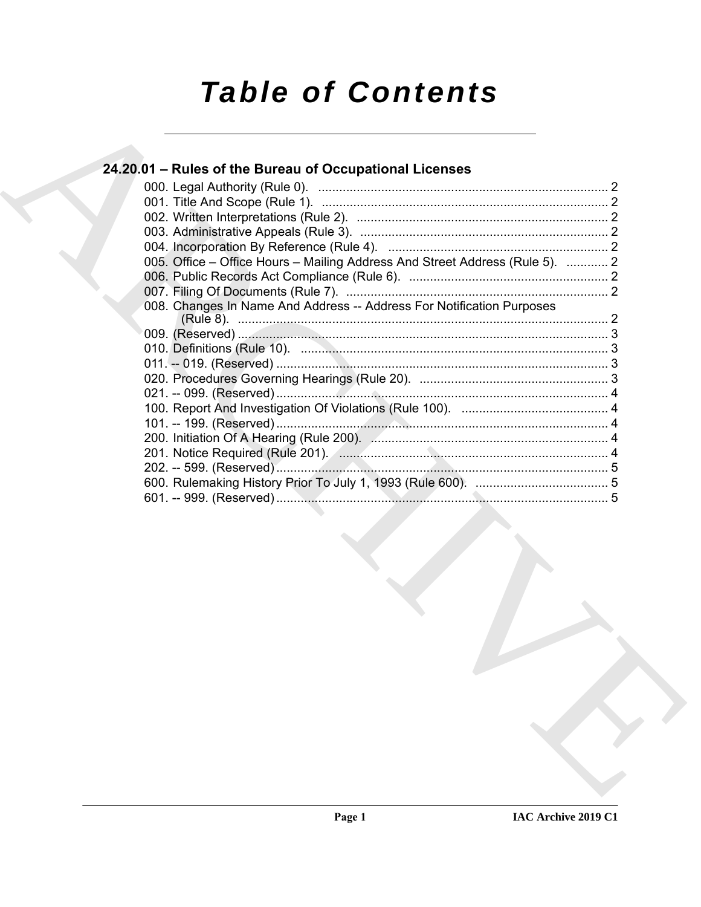# **Table of Contents**

# 24.20.01 - Rules of the Bureau of Occupational Licenses

|  | 005. Office – Office Hours – Mailing Address And Street Address (Rule 5).  2                                   |  |
|--|----------------------------------------------------------------------------------------------------------------|--|
|  |                                                                                                                |  |
|  |                                                                                                                |  |
|  | 008. Changes In Name And Address -- Address For Notification Purposes                                          |  |
|  |                                                                                                                |  |
|  | 010. Definitions (Rule 10). 2000. 2000. 2000. 2010. 2010. 2010. 2010. 2010. 2010. 2010. 2010. 2010. 2010. 2010 |  |
|  |                                                                                                                |  |
|  |                                                                                                                |  |
|  |                                                                                                                |  |
|  |                                                                                                                |  |
|  |                                                                                                                |  |
|  |                                                                                                                |  |
|  |                                                                                                                |  |
|  |                                                                                                                |  |
|  |                                                                                                                |  |
|  |                                                                                                                |  |
|  |                                                                                                                |  |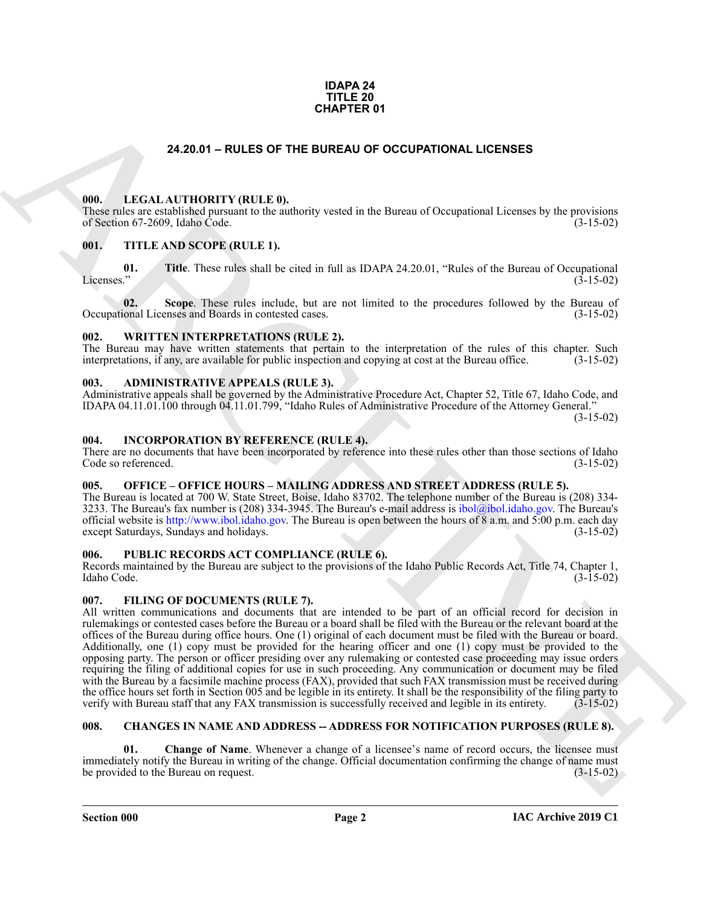### **IDAPA 24 TITLE 20 CHAPTER 01**

### **24.20.01 – RULES OF THE BUREAU OF OCCUPATIONAL LICENSES**

### <span id="page-1-15"></span><span id="page-1-1"></span><span id="page-1-0"></span>**000. LEGAL AUTHORITY (RULE 0).**

These rules are established pursuant to the authority vested in the Bureau of Occupational Licenses by the provisions of Section 67-2609, Idaho Code. (3-15-02)

### <span id="page-1-18"></span><span id="page-1-2"></span>**001. TITLE AND SCOPE (RULE 1).**

**01.** Title. These rules shall be cited in full as IDAPA 24.20.01, "Rules of the Bureau of Occupational Licenses." (3-15-02)  $\mu$  (3-15-02)  $(3-15-02)$ 

**02.** Scope. These rules include, but are not limited to the procedures followed by the Bureau of ional Licenses and Boards in contested cases. (3-15-02) Occupational Licenses and Boards in contested cases.

### <span id="page-1-19"></span><span id="page-1-3"></span>**002. WRITTEN INTERPRETATIONS (RULE 2).**

The Bureau may have written statements that pertain to the interpretation of the rules of this chapter. Such interpretations, if any, are available for public inspection and copying at cost at the Bureau office. (3-15-02)

### <span id="page-1-10"></span><span id="page-1-4"></span>**003. ADMINISTRATIVE APPEALS (RULE 3).**

Administrative appeals shall be governed by the Administrative Procedure Act, Chapter 52, Title 67, Idaho Code, and IDAPA 04.11.01.100 through 04.11.01.799, "Idaho Rules of Administrative Procedure of the Attorney General."

(3-15-02)

### <span id="page-1-14"></span><span id="page-1-5"></span>**004. INCORPORATION BY REFERENCE (RULE 4).**

There are no documents that have been incorporated by reference into these rules other than those sections of Idaho Code so referenced. (3-15-02)

## <span id="page-1-16"></span><span id="page-1-6"></span>**005. OFFICE – OFFICE HOURS – MAILING ADDRESS AND STREET ADDRESS (RULE 5).**

The Bureau is located at 700 W. State Street, Boise, Idaho 83702. The telephone number of the Bureau is (208) 334- 3233. The Bureau's fax number is (208) 334-3945. The Bureau's e-mail address is ibol@ibol.idaho.gov. The Bureau's official website is http://www.ibol.idaho.gov. The Bureau is open between the hours of 8 a.m. and 5:00 p.m. each day except Saturdays, Sundays and holidays. (3-15-02)

### <span id="page-1-17"></span><span id="page-1-7"></span>**006. PUBLIC RECORDS ACT COMPLIANCE (RULE 6).**

Records maintained by the Bureau are subject to the provisions of the Idaho Public Records Act, Title 74, Chapter 1, Idaho Code. (3-15-02)

### <span id="page-1-13"></span><span id="page-1-8"></span>**007. FILING OF DOCUMENTS (RULE 7).**

**24.20.01 - RULES OF THE BUREAU OF OCCUPATIONAL LICENSES**<br> **CHARC[HI](mailto:ibol@ibol.idaho.gov)VE CONTROLLY (RULES)**<br> **CHARCHIVE CONTROLLY (RULES)**<br> **CHARCHIVE CONTROLLY (RULES)**<br> **CHARCHIVE CONTROLLY (RULES)**<br> **CHARCHIVE CONTROLLY (RULES)**<br> **CHARCH** All written communications and documents that are intended to be part of an official record for decision in rulemakings or contested cases before the Bureau or a board shall be filed with the Bureau or the relevant board at the offices of the Bureau during office hours. One (1) original of each document must be filed with the Bureau or board. Additionally, one (1) copy must be provided for the hearing officer and one (1) copy must be provided to the opposing party. The person or officer presiding over any rulemaking or contested case proceeding may issue orders requiring the filing of additional copies for use in such proceeding. Any communication or document may be filed with the Bureau by a facsimile machine process (FAX), provided that such FAX transmission must be received during the office hours set forth in Section 005 and be legible in its entirety. It shall be the responsibility of the filing party to verify with Bureau staff that any FAX transmission is successfully received and legible in its entirety. (3-15-02)

### <span id="page-1-11"></span><span id="page-1-9"></span>**008. CHANGES IN NAME AND ADDRESS -- ADDRESS FOR NOTIFICATION PURPOSES (RULE 8).**

<span id="page-1-12"></span>**Change of Name.** Whenever a change of a licensee's name of record occurs, the licensee must immediately notify the Bureau in writing of the change. Official documentation confirming the change of name must be provided to the Bureau on request. (3-15-02)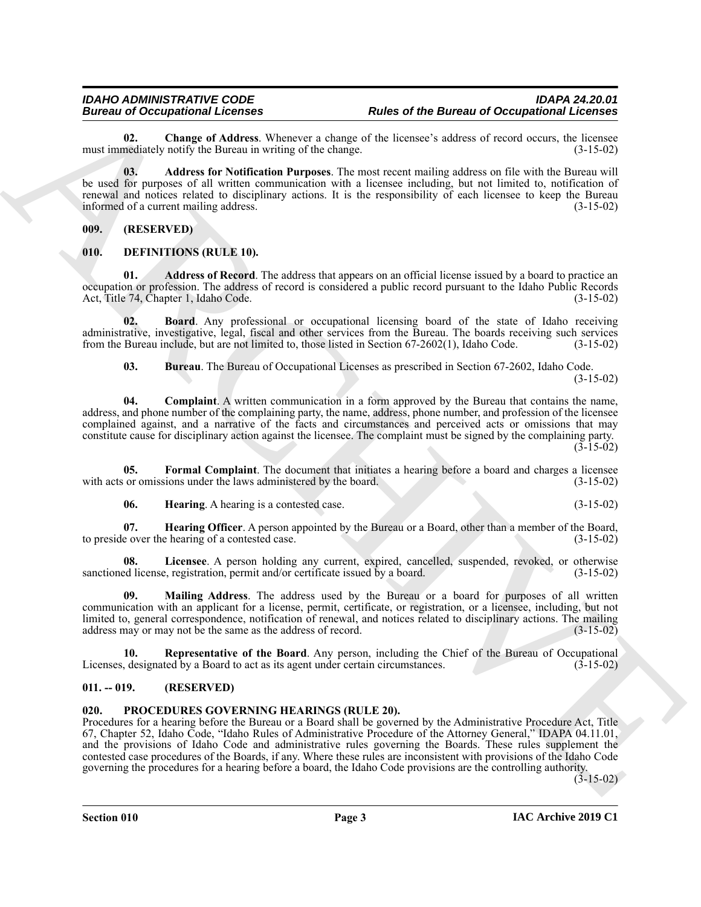<span id="page-2-5"></span>**02.** Change of Address. Whenever a change of the licensee's address of record occurs, the licensee mediately notify the Bureau in writing of the change. (3-15-02) must immediately notify the Bureau in writing of the change.

<span id="page-2-4"></span>**03. Address for Notification Purposes**. The most recent mailing address on file with the Bureau will be used for purposes of all written communication with a licensee including, but not limited to, notification of renewal and notices related to disciplinary actions. It is the responsibility of each licensee to keep the Bureau<br>informed of a current mailing address. informed of a current mailing address.

<span id="page-2-0"></span>**009. (RESERVED)**

### <span id="page-2-6"></span><span id="page-2-1"></span>**010. DEFINITIONS (RULE 10).**

<span id="page-2-7"></span>**01. Address of Record**. The address that appears on an official license issued by a board to practice an occupation or profession. The address of record is considered a public record pursuant to the Idaho Public Records Act, Title 74, Chapter 1, Idaho Code. (3-15-02)

**02. Board**. Any professional or occupational licensing board of the state of Idaho receiving administrative, investigative, legal, fiscal and other services from the Bureau. The boards receiving such services from the Bureau include, but are not limited to, those listed in Section 67-2602(1), Idaho Code. (3-15-02)

<span id="page-2-10"></span><span id="page-2-9"></span><span id="page-2-8"></span>**03. Bureau**. The Bureau of Occupational Licenses as prescribed in Section 67-2602, Idaho Code. (3-15-02)

**04. Complaint**. A written communication in a form approved by the Bureau that contains the name, address, and phone number of the complaining party, the name, address, phone number, and profession of the licensee complained against, and a narrative of the facts and circumstances and perceived acts or omissions that may constitute cause for disciplinary action against the licensee. The complaint must be signed by the complaining party.  $(3-15-02)$ 

**05. Formal Complaint**. The document that initiates a hearing before a board and charges a licensee with acts or omissions under the laws administered by the board. (3-15-02)

<span id="page-2-14"></span><span id="page-2-13"></span><span id="page-2-12"></span><span id="page-2-11"></span>**06. Hearing**. A hearing is a contested case. (3-15-02)

**07. Hearing Officer**. A person appointed by the Bureau or a Board, other than a member of the Board, to preside over the hearing of a contested case. (3-15-02)

**08. Licensee**. A person holding any current, expired, cancelled, suspended, revoked, or otherwise sanctioned license, registration, permit and/or certificate issued by a board. (3-15-02)

<span id="page-2-15"></span>**09. Mailing Address**. The address used by the Bureau or a board for purposes of all written communication with an applicant for a license, permit, certificate, or registration, or a licensee, including, but not limited to, general correspondence, notification of renewal, and notices related to disciplinary actions. The mailing address may or may not be the same as the address of record. (3-15-02) address may or may not be the same as the address of record.

<span id="page-2-16"></span>**10. Representative of the Board**. Any person, including the Chief of the Bureau of Occupational Licenses, designated by a Board to act as its agent under certain circumstances. (3-15-02)

### <span id="page-2-2"></span>**011. -- 019. (RESERVED)**

### <span id="page-2-17"></span><span id="page-2-3"></span>**020. PROCEDURES GOVERNING HEARINGS (RULE 20).**

Bureau in Concernsion Licenses<br>
and Discussion Concernsion (Licenses of the Bureau of Occupational Concernses<br>
mail image of Address Part Military Whenever a change of the Reactive Military and The Military Concernses of Procedures for a hearing before the Bureau or a Board shall be governed by the Administrative Procedure Act, Title 67, Chapter 52, Idaho Code, "Idaho Rules of Administrative Procedure of the Attorney General," IDAPA 04.11.01, and the provisions of Idaho Code and administrative rules governing the Boards. These rules supplement the contested case procedures of the Boards, if any. Where these rules are inconsistent with provisions of the Idaho Code governing the procedures for a hearing before a board, the Idaho Code provisions are the controlling authority.

 $(3-15-02)$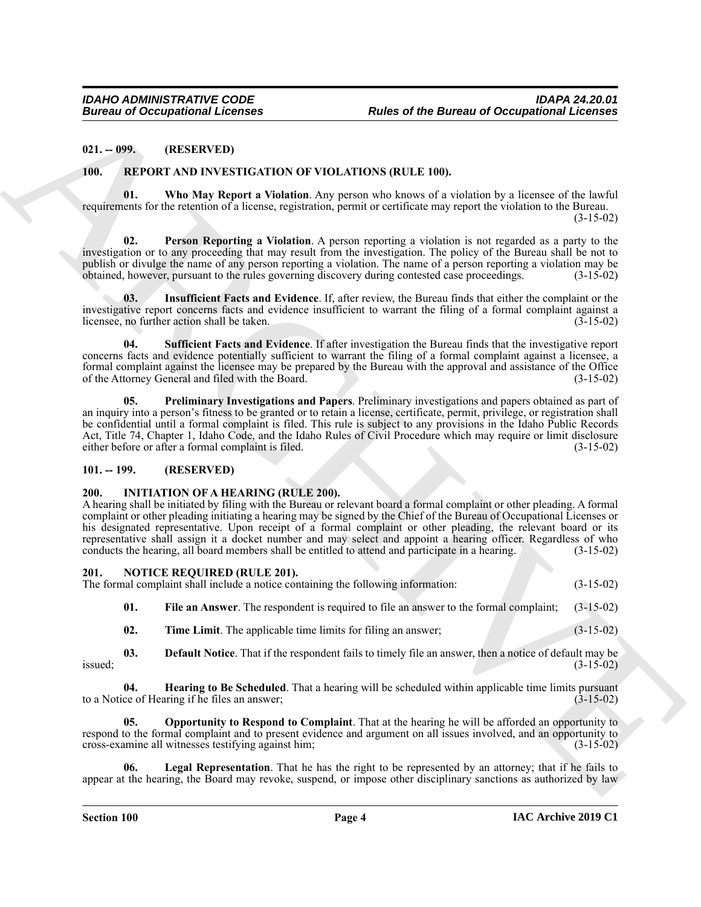### <span id="page-3-0"></span>**021. -- 099. (RESERVED)**

### <span id="page-3-18"></span><span id="page-3-13"></span><span id="page-3-1"></span>**100. REPORT AND INVESTIGATION OF VIOLATIONS (RULE 100).**

**01. Who May Report a Violation**. Any person who knows of a violation by a licensee of the lawful requirements for the retention of a license, registration, permit or certificate may report the violation to the Bureau.  $(3-15-02)$ 

<span id="page-3-15"></span>**Person Reporting a Violation.** A person reporting a violation is not regarded as a party to the investigation or to any proceeding that may result from the investigation. The policy of the Bureau shall be not to publish or divulge the name of any person reporting a violation. The name of a person reporting a violation may be obtained, however, pursuant to the rules governing discovery during contested case proceedings. (3-15-02) obtained, however, pursuant to the rules governing discovery during contested case proceedings. (3-15-02)

<span id="page-3-14"></span>**03. Insufficient Facts and Evidence**. If, after review, the Bureau finds that either the complaint or the investigative report concerns facts and evidence insufficient to warrant the filing of a formal complaint against a licensee, no further action shall be taken. licensee, no further action shall be taken.

<span id="page-3-17"></span><span id="page-3-16"></span>**04. Sufficient Facts and Evidence**. If after investigation the Bureau finds that the investigative report concerns facts and evidence potentially sufficient to warrant the filing of a formal complaint against a licensee, a formal complaint against the licensee may be prepared by the Bureau with the approval and assistance of the Office of the Attorney General and filed with the Board. (3-15-02)

Bureau of Occupations Internet<br>
21. 1995<br>
21. 1995<br>
21. 1995<br>
22. IEMELIN (DE) INTERNETION OF VIOLATION IRELEVAN)<br>
11. 1995<br>
22. IEMELIN (DE) INTERNETION OF VIOLATION IRELEVAN)<br>
22. IEMELIN (DE) INTERNETION OF VIOLATION I **05. Preliminary Investigations and Papers**. Preliminary investigations and papers obtained as part of an inquiry into a person's fitness to be granted or to retain a license, certificate, permit, privilege, or registration shall be confidential until a formal complaint is filed. This rule is subject to any provisions in the Idaho Public Records Act, Title 74, Chapter 1, Idaho Code, and the Idaho Rules of Civil Procedure which may require or limit disclosure either before or after a formal complaint is filed. (3-15-02) either before or after a formal complaint is filed.

### <span id="page-3-5"></span><span id="page-3-2"></span>**101. -- 199. (RESERVED)**

### <span id="page-3-3"></span>**200. INITIATION OF A HEARING (RULE 200).**

A hearing shall be initiated by filing with the Bureau or relevant board a formal complaint or other pleading. A formal complaint or other pleading initiating a hearing may be signed by the Chief of the Bureau of Occupational Licenses or his designated representative. Upon receipt of a formal complaint or other pleading, the relevant board or its representative shall assign it a docket number and may select and appoint a hearing officer. Regardless of who conducts the hearing all board members shall be entitled to attend and participate in a hearing. (3-15-02) conducts the hearing, all board members shall be entitled to attend and participate in a hearing.

# <span id="page-3-6"></span><span id="page-3-4"></span>**201. NOTICE REQUIRED (RULE 201).** The formal complaint shall include a notice containing the following information: (3-15-02)

<span id="page-3-8"></span>**01. File an Answer**. The respondent is required to file an answer to the formal complaint; (3-15-02)

<span id="page-3-12"></span><span id="page-3-9"></span><span id="page-3-7"></span>**02. Time Limit**. The applicable time limits for filing an answer; (3-15-02)

**03. Default Notice**. That if the respondent fails to timely file an answer, then a notice of default may be  $i$ ssued;  $(3-15-02)$ 

**04. Hearing to Be Scheduled**. That a hearing will be scheduled within applicable time limits pursuant ce of Hearing if he files an answer; to a Notice of Hearing if he files an answer;

<span id="page-3-11"></span>**05. Opportunity to Respond to Complaint**. That at the hearing he will be afforded an opportunity to respond to the formal complaint and to present evidence and argument on all issues involved, and an opportunity to cross-examine all witnesses testifying against him; (3-15-02)

<span id="page-3-10"></span>Legal Representation. That he has the right to be represented by an attorney; that if he fails to appear at the hearing, the Board may revoke, suspend, or impose other disciplinary sanctions as authorized by law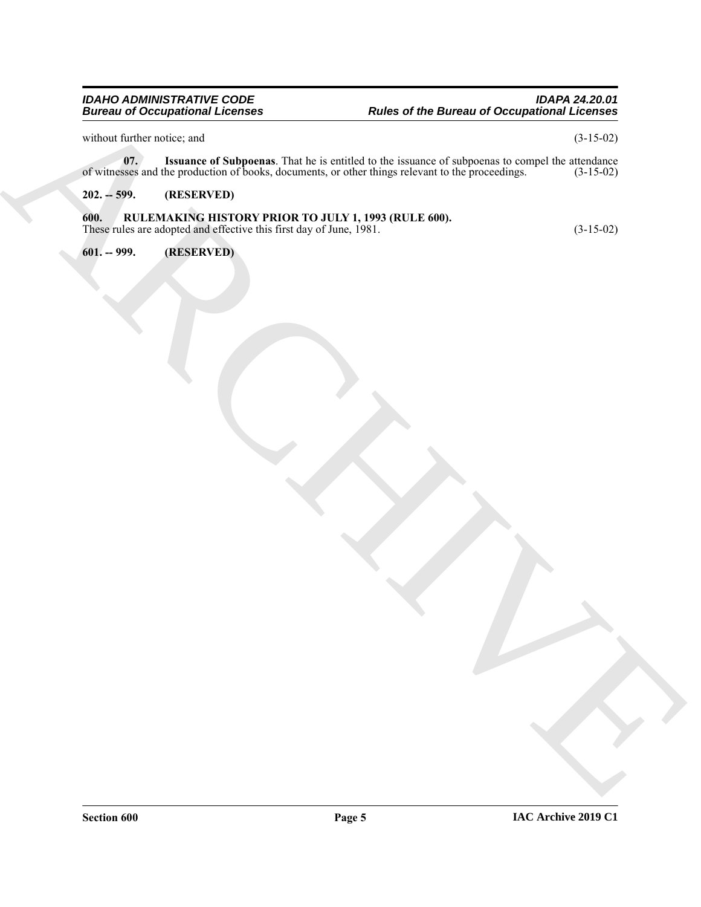### *IDAHO ADMINISTRATIVE CODE IDAPA 24.20.01 Bureau of Occupational Licenses Rules of the Bureau of Occupational Licenses*

without further notice; and  $(3-15-02)$ 

<span id="page-4-3"></span>**07.** Issuance of Subpoenas. That he is entitled to the issuance of subpoenas to compel the attendance sses and the production of books, documents, or other things relevant to the proceedings. (3-15-02) of witnesses and the production of books, documents, or other things relevant to the proceedings.

### <span id="page-4-1"></span><span id="page-4-0"></span>**202. -- 599. (RESERVED)**

# Europa into the context of the context of the context of the companion of Companion in the context of the context of the context of the context of the context of the context of the context of the context of the context of **600. RULEMAKING HISTORY PRIOR TO JULY 1, 1993 (RULE 600).** These rules are adopted and effective this first day of June, 1981. (3-15-02)

<span id="page-4-2"></span>**601. -- 999. (RESERVED)**